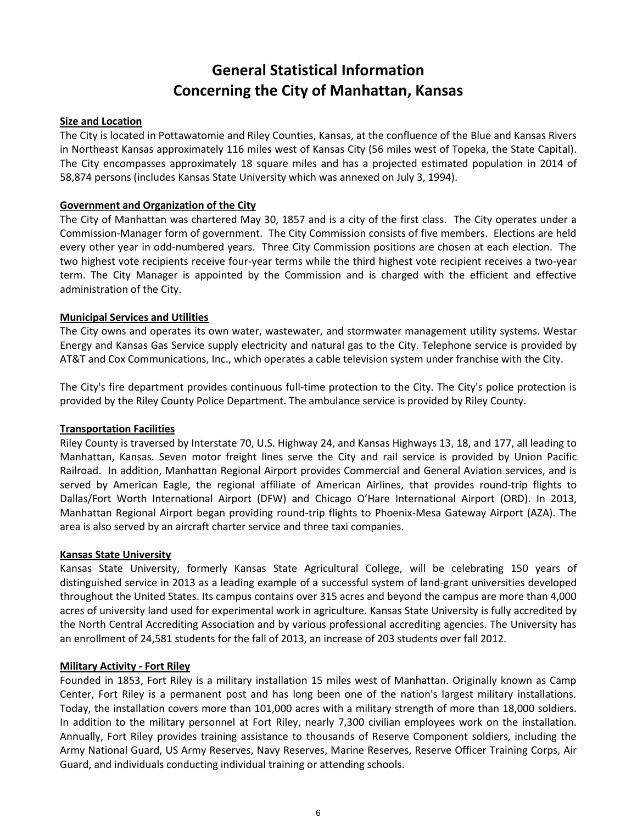# **General Statistical Information Concerning the City of Manhattan, Kansas**

## **Size and Location**

The City is located in Pottawatomie and Riley Counties, Kansas, at the confluence of the Blue and Kansas Rivers in Northeast Kansas approximately 116 miles west of Kansas City (56 miles west of Topeka, the State Capital). The City encompasses approximately 18 square miles and has a projected estimated population in 2014 of 58,874 persons (includes Kansas State University which was annexed on July 3, 1994).

## **Government and Organization of the City**

The City of Manhattan was chartered May 30, 1857 and is a city of the first class. The City operates under a Commission-Manager form of government. The City Commission consists of five members. Elections are held every other year in odd-numbered years. Three City Commission positions are chosen at each election. The two highest vote recipients receive four-year terms while the third highest vote recipient receives a two-year term. The City Manager is appointed by the Commission and is charged with the efficient and effective administration of the City.

## **Municipal Services and Utilities**

The City owns and operates its own water, wastewater, and stormwater management utility systems. Westar Energy and Kansas Gas Service supply electricity and natural gas to the City. Telephone service is provided by AT&T and Cox Communications, Inc., which operates a cable television system under franchise with the City.

The City's fire department provides continuous full-time protection to the City. The City's police protection is provided by the Riley County Police Department. The ambulance service is provided by Riley County.

## **Transportation Facilities**

Riley County is traversed by Interstate 70, U.S. Highway 24, and Kansas Highways 13, 18, and 177, all leading to Manhattan, Kansas. Seven motor freight lines serve the City and rail service is provided by Union Pacific Railroad. In addition, Manhattan Regional Airport provides Commercial and General Aviation services, and is served by American Eagle, the regional affiliate of American Airlines, that provides round-trip flights to Dallas/Fort Worth International Airport (DFW) and Chicago O'Hare International Airport (ORD). In 2013, Manhattan Regional Airport began providing round-trip flights to Phoenix-Mesa Gateway Airport (AZA). The area is also served by an aircraft charter service and three taxi companies.

#### **Kansas State University**

Kansas State University, formerly Kansas State Agricultural College, will be celebrating 150 years of distinguished service in 2013 as a leading example of a successful system of land-grant universities developed throughout the United States. Its campus contains over 315 acres and beyond the campus are more than 4,000 acres of university land used for experimental work in agriculture. Kansas State University is fully accredited by the North Central Accrediting Association and by various professional accrediting agencies. The University has an enrollment of 24,581 students for the fall of 2013, an increase of 203 students over fall 2012.

#### **Military Activity - Fort Riley**

Founded in 1853, Fort Riley is a military installation 15 miles west of Manhattan. Originally known as Camp Center, Fort Riley is a permanent post and has long been one of the nation's largest military installations. Today, the installation covers more than 101,000 acres with a military strength of more than 18,000 soldiers. In addition to the military personnel at Fort Riley, nearly 7,300 civilian employees work on the installation. Annually, Fort Riley provides training assistance to thousands of Reserve Component soldiers, including the Army National Guard, US Army Reserves, Navy Reserves, Marine Reserves, Reserve Officer Training Corps, Air Guard, and individuals conducting individual training or attending schools.